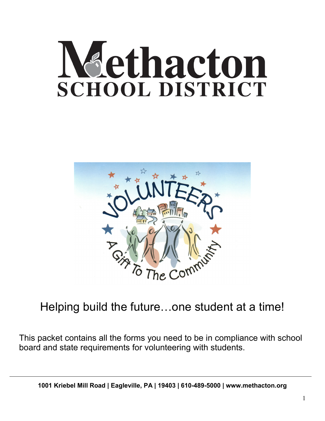## dethacton **SCHOOL DISTRICT**



## Helping build the future…one student at a time!

This packet contains all the forms you need to be in compliance with school board and state requirements for volunteering with students.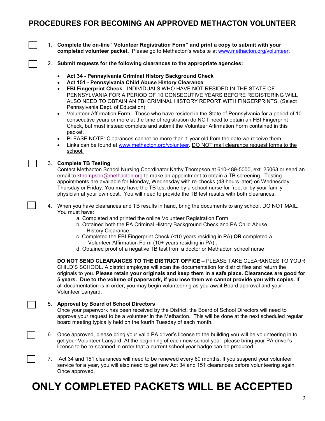1. **Complete the on-line "Volunteer Registration Form" and print a copy to submit with your completed volunteer packet.** Please go to Methacton's website at [www.methacton.org/volunteer.](http://www.methacton.org/volunteer)

- 2. **Submit requests for the following clearances to the appropriate agencies:**
	- **Act 34 - Pennsylvania Criminal History Background Check**
	- **Act 151 - Pennsylvania Child Abuse History Clearance**
	- **FBI Fingerprint Check** INDIVIDUALS WHO HAVE NOT RESIDED IN THE STATE OF PENNSYLVANIA FOR A PERIOD OF 10 CONSECUTIVE YEARS BEFORE REGISTERING WILL ALSO NEED TO OBTAIN AN FBI CRIMINAL HISTORY REPORT WITH FINGERPRINTS. (Select Pennsylvania Dept. of Education).

• Volunteer Affirmation Form - Those who have resided in the State of Pennsylvania for a period of 10 consecutive years or more at the time of registration do NOT need to obtain an FBI Fingerprint Check, but must instead complete and submit the Volunteer Affirmation Form contained in this packet.

- PLEASE NOTE: Clearances cannot be more than 1 year old from the date we receive them.
- Links can be found at [www.methacton.org/volunteer.](http://www.methacton.org/volunteer) DO NOT mail clearance request forms to the school.

#### 3. **Complete TB Testing**

Contact Methacton School Nursing Coordinator Kathy Thompson at 610-489-5000, ext. 25063 or send an email to [kthompson@methacton.org](mailto:kthompson@methacton.org) to make an appointment to obtain a TB screening. Testing appointments are available for Monday, Wednesday with re-checks (48 hours later) on Wednesday, Thursday or Friday. You may have the TB test done by a school nurse for free, or by your family physician at your own cost. You will need to provide the TB test results with both clearances.

- 4. When you have clearances and TB results in hand, bring the documents to any school. DO NOT MAIL. You must have:
	- a. Completed and printed the online Volunteer Registration Form
	- b. Obtained both the PA Criminal History Background Check and PA Child Abuse History Clearance.
	- c. Completed the FBI Fingerprint Check (<10 years residing in PA) **OR** completed a Volunteer Affirmation Form (10+ years residing in PA)..
	- d. Obtained proof of a negative TB test from a doctor or Methacton school nurse

**DO NOT SEND CLEARANCES TO THE DISTRICT OFFICE** – PLEASE TAKE CLEARANCES TO YOUR CHILD'S SCHOOL. A district employee will scan the documentation for district files and return the originals to you. **Please retain your originals and keep them in a safe place. Clearances are good for 5 years. Due to the volume of paperwork, if you lose them we cannot provide you with copies.** If all documentation is in order, you may begin volunteering as you await Board approval and your Volunteer Lanyard.

#### 5. **Approval by Board of School Directors**

Once your paperwork has been received by the District, the Board of School Directors will need to approve your request to be a volunteer in the Methacton. This will be done at the next scheduled regular board meeting typically held on the fourth Tuesday of each month.

- 6. Once approved, please bring your valid PA driver's license to the building you will be volunteering in to get your Volunteer Lanyard. At the beginning of each new school year, please bring your PA driver's license to be re-scanned in order that a current school year badge can be produced.
- 7. Act 34 and 151 clearances will need to be renewed every 60 months. If you suspend your volunteer service for a year, you will also need to get new Act 34 and 151 clearances before volunteering again. Once approved,

## **ONLY COMPLETED PACKETS WILL BE ACCEPTED**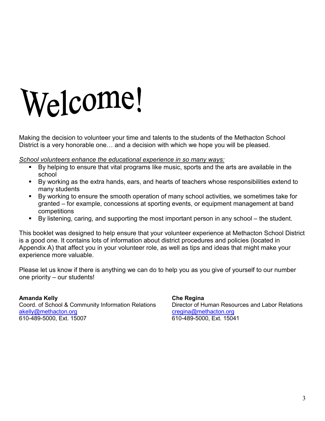# Welcome!

Making the decision to volunteer your time and talents to the students of the Methacton School District is a very honorable one… and a decision with which we hope you will be pleased.

*School volunteers enhance the educational experience in so many ways:*

- By helping to ensure that vital programs like music, sports and the arts are available in the school
- By working as the extra hands, ears, and hearts of teachers whose responsibilities extend to many students
- By working to ensure the smooth operation of many school activities, we sometimes take for granted – for example, concessions at sporting events, or equipment management at band competitions
- By listening, caring, and supporting the most important person in any school the student.

This booklet was designed to help ensure that your volunteer experience at Methacton School District is a good one. It contains lots of information about district procedures and policies (located in Appendix A) that affect you in your volunteer role, as well as tips and ideas that might make your experience more valuable.

Please let us know if there is anything we can do to help you as you give of yourself to our number one priority – our students!

**Amanda Kelly Che Regina** Coord. of School & Community Information Relations Director of Human Resources and Labor Relations [akelly@methacton.org](mailto:akelly@methacton.org) creatina@methacton.org creatina@methacton.org 610-489-5000, Ext. 15007 610-489-5000, Ext. 15041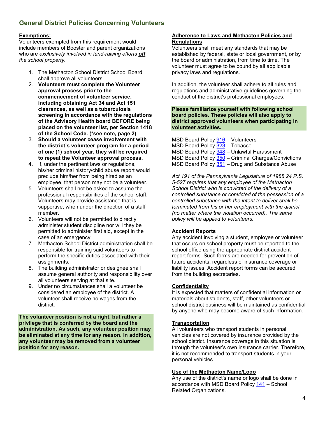#### **General District Policies Concerning Volunteers**

#### **Exemptions:**

Volunteers exempted from this requirement would include members of Booster and parent organizations who are *exclusively involved in fund-raising efforts off the school property.*

- 1. The Methacton School District School Board shall approve all volunteers.
- 2. **Volunteers must complete the Volunteer approval process prior to the commencement of volunteer service, including obtaining Act 34 and Act 151 clearances, as well as a tuberculosis screening in accordance with the regulations of the Advisory Health board BEFORE being placed on the volunteer list, per Section 1418 of the School Code. (\*see note, page 2)**
- 3. **Should a volunteer cease involvement with the district's volunteer program for a period of one (1) school year, they will be required to repeat the Volunteer approval process.**
- 4. If, under the pertinent laws or regulations, his/her criminal history/child abuse report would preclude him/her from being hired as an employee, that person may not be a volunteer.
- 5. Volunteers shall not be asked to assume the professional responsibilities of the school staff. Volunteers may provide assistance that is supportive, when under the direction of a staff member.
- 6. Volunteers will not be permitted to directly administer student discipline nor will they be permitted to administer first aid, except in the case of an emergency.
- 7. Methacton School District administration shall be responsible for training said volunteers to perform the specific duties associated with their assignments.
- 8. The building administrator or designee shall assume general authority and responsibility over all volunteers serving at that site.
- 9. Under no circumstances shall a volunteer be considered an employee of the district. A volunteer shall receive no wages from the district.

**The volunteer position is not a right, but rather a privilege that is conferred by the board and the administration. As such, any volunteer position may be eliminated at any time for any reason. In addition, any volunteer may be removed from a volunteer position for any reason.**

#### **Adherence to Laws and Methacton Policies and Regulations**

Volunteers shall meet any standards that may be established by federal, state or local government, or by the board or administration, from time to time. The volunteer must agree to be bound by all applicable privacy laws and regulations.

In addition, the volunteer shall adhere to all rules and regulations and administrative guidelines governing the conduct of the district's professional employees.

**Please familiarize yourself with following school board policies. These policies will also apply to district approved volunteers when participating in volunteer activities.**

|  | MSD Board Policy 916 - Volunteers                   |  |
|--|-----------------------------------------------------|--|
|  | MSD Board Policy 323 - Tobacco                      |  |
|  | MSD Board Policy 348 - Unlawful Harassment          |  |
|  | MSD Board Policy 350 - Criminal Charges/Convictions |  |
|  | MSD Board Policy 351 - Drug and Substance Abuse     |  |

*Act 191 of the Pennsylvania Legislature of 1988 24 P.S. 5-527 requires that any employee of the Methacton School District who is convicted of the delivery of a controlled substance or convicted of the possession of a controlled substance with the intent to deliver shall be terminated from his or her employment with the district (no matter where the violation occurred). The same policy will be applied to volunteers.*

#### **Accident Reports**

Any accident involving a student, employee or volunteer that occurs on school property must be reported to the school office using the appropriate district accident report forms. Such forms are needed for prevention of future accidents, regardless of insurance coverage or liability issues. Accident report forms can be secured from the building secretaries.

#### **Confidentiality**

It is expected that matters of confidential information or materials about students, staff, other volunteers or school district business will be maintained as confidential by anyone who may become aware of such information.

#### **Transportation**

All volunteers who transport students in personal vehicles are not covered by insurance provided by the school district. Insurance coverage in this situation is through the volunteer's own insurance carrier. Therefore, it is not recommended to transport students in your personal vehicles.

#### **Use of the Methacton Name/Logo**

Any use of the district's name or logo shall be done in accordance with MSD Board Policy [141](http://www.methacton.org/cms/lib/PA01000176/centricity/domain/50/141.pdf) – School Related Organizations.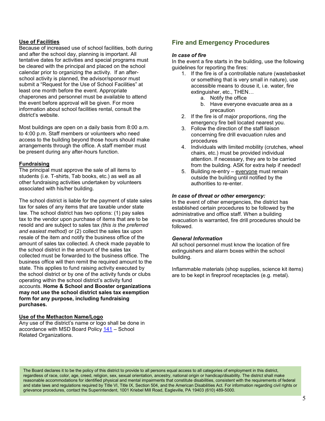#### **Use of Facilities**

Because of increased use of school facilities, both during and after the school day, planning is important. All tentative dates for activities and special programs must be cleared with the principal and placed on the school calendar prior to organizing the activity. If an afterschool activity is planned, the advisor/sponsor must submit a "Request for the Use of School Facilities" at least one month before the event. Appropriate chaperones and personnel must be available to attend the event before approval will be given. For more information about school facilities rental, consult the district's website.

Most buildings are open on a daily basis from 8:00 a.m. to 4:00 p.m. Staff members or volunteers who need access to the building beyond those hours should make arrangements through the office. A staff member must be present during any after-hours function.

#### **Fundraising**

The principal must approve the sale of all items to students (i.e. T-shirts, Tab books, etc.) as well as all other fundraising activities undertaken by volunteers associated with his/her building.

The school district is liable for the payment of state sales tax for sales of any items that are taxable under state law. The school district has two options: (1) pay sales tax to the vendor upon purchase of items that are to be resold and are subject to sales tax *(this is the preferred and easiest method)* or (2) collect the sales tax upon resale of the item and notify the business office of the amount of sales tax collected. A check made payable to the school district in the amount of the sales tax collected must be forwarded to the business office. The business office will then remit the required amount to the state. This applies to fund raising activity executed by the school district or by one of the activity funds or clubs operating within the school district's activity fund accounts. **Home & School and Booster organizations may not use the school district sales tax exemption form for any purpose, including fundraising purchases.**

#### **Use of the Methacton Name/Logo**

Any use of the district's name or logo shall be done in accordance with MSD Board Policy [141](http://www.methacton.org/cms/lib/PA01000176/centricity/domain/50/141.pdf) – School Related Organizations.

#### **Fire and Emergency Procedures**

#### *In case of fire*

In the event a fire starts in the building, use the following guidelines for reporting the fires:

- 1. If the fire is of a controllable nature (wastebasket or something that is very small in nature), use accessible means to douse it, i.e. water, fire extinguisher, etc., THEN…
	- a. Notify the office
	- b. Have everyone evacuate area as a precaution
- 2. If the fire is of major proportions, ring the emergency fire bell located nearest you.
- 3. Follow the direction of the staff liaison concerning fire drill evacuation rules and procedures
- 4. Individuals with limited mobility (crutches, wheel chairs, etc.) must be provided individual attention. If necessary, they are to be carried from the building. ASK for extra help if needed!
- 5. Building re-entry everyone must remain outside the building until notified by the authorities to re-enter.

#### *In case of threat or other emergency:*

In the event of other emergencies, the district has established certain procedures to be followed by the administrative and office staff. When a building evacuation is warranted, fire drill procedures should be followed.

#### *General Information*

All school personnel must know the location of fire extinguishers and alarm boxes within the school building.

Inflammable materials (shop supplies, science kit items) are to be kept in fireproof receptacles (e.g. metal).

The Board declares it to be the policy of this district to provide to all persons equal access to all categories of employment in this district, regardless of race, color, age, creed, religion, sex, sexual orientation, ancestry, national origin or handicap/disability. The district shall make reasonable accommodations for identified physical and mental impairments that constitute disabilities, consistent with the requirements of federal and state laws and regulations required by Title VI, Title IX, Section 504, and the American Disabilities Act. For information regarding civil rights or grievance procedures, contact the Superintendent, 1001 Kriebel Mill Road, Eagleville, PA 19403 (610) 489-5000.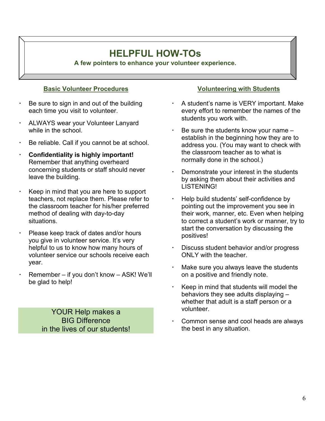### **HELPFUL HOW-TOs**

**A few pointers to enhance your volunteer experience.**

#### **Basic Volunteer Procedures**

- Be sure to sign in and out of the building each time you visit to volunteer.
- ALWAYS wear your Volunteer Lanyard while in the school.
- Be reliable. Call if you cannot be at school.
- **Confidentiality is highly important!** Remember that anything overheard concerning students or staff should never leave the building.
- Keep in mind that you are here to support teachers, not replace them. Please refer to the classroom teacher for his/her preferred method of dealing with day-to-day situations.
- Please keep track of dates and/or hours you give in volunteer service. It's very helpful to us to know how many hours of volunteer service our schools receive each year.
- Remember if you don't know ASK! We'll be glad to help!

YOUR Help makes a BIG Difference in the lives of our students!

#### **Volunteering with Students**

- A student's name is VERY important. Make every effort to remember the names of the students you work with.
- Be sure the students know your name establish in the beginning how they are to address you. (You may want to check with the classroom teacher as to what is normally done in the school.)
- Demonstrate your interest in the students by asking them about their activities and LISTENING!
- Help build students' self-confidence by pointing out the improvement you see in their work, manner, etc. Even when helping to correct a student's work or manner, try to start the conversation by discussing the positives!
- Discuss student behavior and/or progress ONLY with the teacher.
- Make sure you always leave the students on a positive and friendly note.
- Keep in mind that students will model the behaviors they see adults displaying – whether that adult is a staff person or a volunteer.
- Common sense and cool heads are always the best in any situation.